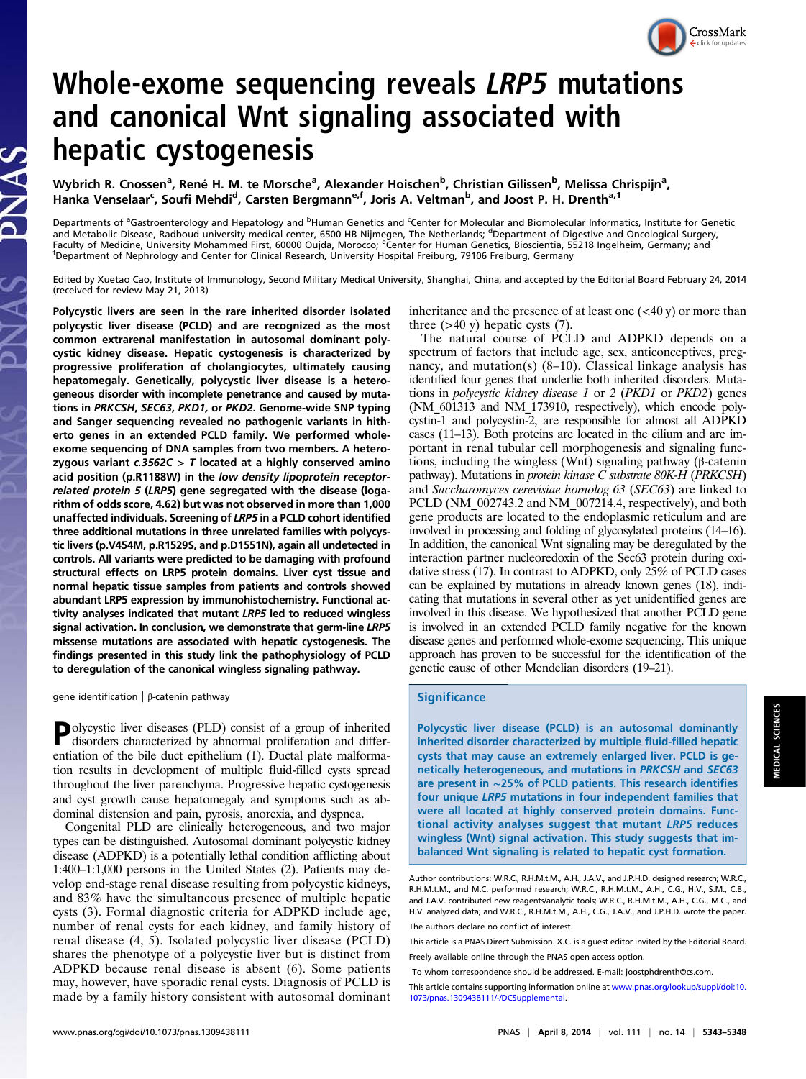# Whole-exome sequencing reveals LRP5 mutations and canonical Wnt signaling associated with hepatic cystogenesis

Wybrich R. Cnossen<sup>a</sup>, René H. M. te Morsche<sup>a</sup>, Alexander Hoischen<sup>b</sup>, Christian Gilissen<sup>b</sup>, Melissa Chrispijn<sup>a</sup>, Hanka Venselaar<sup>c</sup>, Soufi Mehdi<sup>d</sup>, Carsten Bergmann<sup>e,f</sup>, Joris A. Veltman<sup>b</sup>, and Joost P. H. Drenth<sup>a, 1</sup>

Departments of <sup>a</sup>Gastroenterology and Hepatology and <sup>b</sup>Human Genetics and <sup>c</sup>Center for Molecular and Biomolecular Informatics, Institute for Genetic and Metabolic Disease, Radboud university medical center, 6500 HB Nijmegen, The Netherlands; <sup>d</sup>Department of Digestive and Oncological Surgery, Faculty of Medicine, University Mohammed First, 60000 Oujda, Morocco; <sup>e</sup>Center for Human Genetics, Bioscientia, 55218 Ingelheim, Germany; and<br><sup>f</sup>Department of Nephrology and Center for Clinical Besearch, University Hospit Department of Nephrology and Center for Clinical Research, University Hospital Freiburg, 79106 Freiburg, Germany

Edited by Xuetao Cao, Institute of Immunology, Second Military Medical University, Shanghai, China, and accepted by the Editorial Board February 24, 2014 (received for review May 21, 2013)

Polycystic livers are seen in the rare inherited disorder isolated polycystic liver disease (PCLD) and are recognized as the most common extrarenal manifestation in autosomal dominant polycystic kidney disease. Hepatic cystogenesis is characterized by progressive proliferation of cholangiocytes, ultimately causing hepatomegaly. Genetically, polycystic liver disease is a heterogeneous disorder with incomplete penetrance and caused by mutations in PRKCSH, SEC63, PKD1, or PKD2. Genome-wide SNP typing and Sanger sequencing revealed no pathogenic variants in hitherto genes in an extended PCLD family. We performed wholeexome sequencing of DNA samples from two members. A heterozygous variant  $c.3562C > T$  located at a highly conserved amino acid position (p.R1188W) in the low density lipoprotein receptorrelated protein 5 (LRP5) gene segregated with the disease (logarithm of odds score, 4.62) but was not observed in more than 1,000 unaffected individuals. Screening of LRP5 in a PCLD cohort identified three additional mutations in three unrelated families with polycystic livers (p.V454M, p.R1529S, and p.D1551N), again all undetected in controls. All variants were predicted to be damaging with profound structural effects on LRP5 protein domains. Liver cyst tissue and normal hepatic tissue samples from patients and controls showed abundant LRP5 expression by immunohistochemistry. Functional activity analyses indicated that mutant LRP5 led to reduced wingless signal activation. In conclusion, we demonstrate that germ-line LRP5 missense mutations are associated with hepatic cystogenesis. The findings presented in this study link the pathophysiology of PCLD to deregulation of the canonical wingless signaling pathway.

gene identification | β-catenin pathway

Polycystic liver diseases (PLD) consist of a group of inherited disorders characterized by abnormal proliferation and differentiation of the bile duct epithelium (1). Ductal plate malformation results in development of multiple fluid-filled cysts spread throughout the liver parenchyma. Progressive hepatic cystogenesis and cyst growth cause hepatomegaly and symptoms such as abdominal distension and pain, pyrosis, anorexia, and dyspnea.

Congenital PLD are clinically heterogeneous, and two major types can be distinguished. Autosomal dominant polycystic kidney disease (ADPKD) is a potentially lethal condition afflicting about 1:400–1:1,000 persons in the United States (2). Patients may develop end-stage renal disease resulting from polycystic kidneys, and 83% have the simultaneous presence of multiple hepatic cysts (3). Formal diagnostic criteria for ADPKD include age, number of renal cysts for each kidney, and family history of renal disease (4, 5). Isolated polycystic liver disease (PCLD) shares the phenotype of a polycystic liver but is distinct from ADPKD because renal disease is absent (6). Some patients may, however, have sporadic renal cysts. Diagnosis of PCLD is made by a family history consistent with autosomal dominant inheritance and the presence of at least one  $( $40 y$ )$  or more than three  $(>40 \text{ y})$  hepatic cysts  $(7)$ .

CrossMark

The natural course of PCLD and ADPKD depends on a spectrum of factors that include age, sex, anticonceptives, pregnancy, and mutation(s) (8–10). Classical linkage analysis has identified four genes that underlie both inherited disorders. Mutations in polycystic kidney disease 1 or 2 (PKD1 or PKD2) genes (NM\_601313 and NM\_173910, respectively), which encode polycystin-1 and polycystin-2, are responsible for almost all ADPKD cases (11–13). Both proteins are located in the cilium and are important in renal tubular cell morphogenesis and signaling functions, including the wingless (Wnt) signaling pathway (β-catenin pathway). Mutations in protein kinase C substrate 80K-H (PRKCSH) and Saccharomyces cerevisiae homolog 63 (SEC63) are linked to PCLD (NM\_002743.2 and NM\_007214.4, respectively), and both gene products are located to the endoplasmic reticulum and are involved in processing and folding of glycosylated proteins (14–16). In addition, the canonical Wnt signaling may be deregulated by the interaction partner nucleoredoxin of the Sec63 protein during oxidative stress (17). In contrast to ADPKD, only 25% of PCLD cases can be explained by mutations in already known genes (18), indicating that mutations in several other as yet unidentified genes are involved in this disease. We hypothesized that another PCLD gene is involved in an extended PCLD family negative for the known disease genes and performed whole-exome sequencing. This unique approach has proven to be successful for the identification of the genetic cause of other Mendelian disorders (19–21).

## **Significance**

Polycystic liver disease (PCLD) is an autosomal dominantly inherited disorder characterized by multiple fluid-filled hepatic cysts that may cause an extremely enlarged liver. PCLD is genetically heterogeneous, and mutations in PRKCSH and SEC63 are present in ∼25% of PCLD patients. This research identifies four unique LRP5 mutations in four independent families that were all located at highly conserved protein domains. Functional activity analyses suggest that mutant LRP5 reduces wingless (Wnt) signal activation. This study suggests that imbalanced Wnt signaling is related to hepatic cyst formation.

Author contributions: W.R.C., R.H.M.t.M., A.H., J.A.V., and J.P.H.D. designed research; W.R.C., R.H.M.t.M., and M.C. performed research; W.R.C., R.H.M.t.M., A.H., C.G., H.V., S.M., C.B., and J.A.V. contributed new reagents/analytic tools; W.R.C., R.H.M.t.M., A.H., C.G., M.C., and H.V. analyzed data; and W.R.C., R.H.M.t.M., A.H., C.G., J.A.V., and J.P.H.D. wrote the paper. The authors declare no conflict of interest.

This article is a PNAS Direct Submission. X.C. is a guest editor invited by the Editorial Board. Freely available online through the PNAS open access option.

<sup>1</sup>To whom correspondence should be addressed. E-mail: [joostphdrenth@cs.com](mailto:joostphdrenth@cs.com).

This article contains supporting information online at [www.pnas.org/lookup/suppl/doi:10.](http://www.pnas.org/lookup/suppl/doi:10.1073/pnas.1309438111/-/DCSupplemental) [1073/pnas.1309438111/-/DCSupplemental](http://www.pnas.org/lookup/suppl/doi:10.1073/pnas.1309438111/-/DCSupplemental).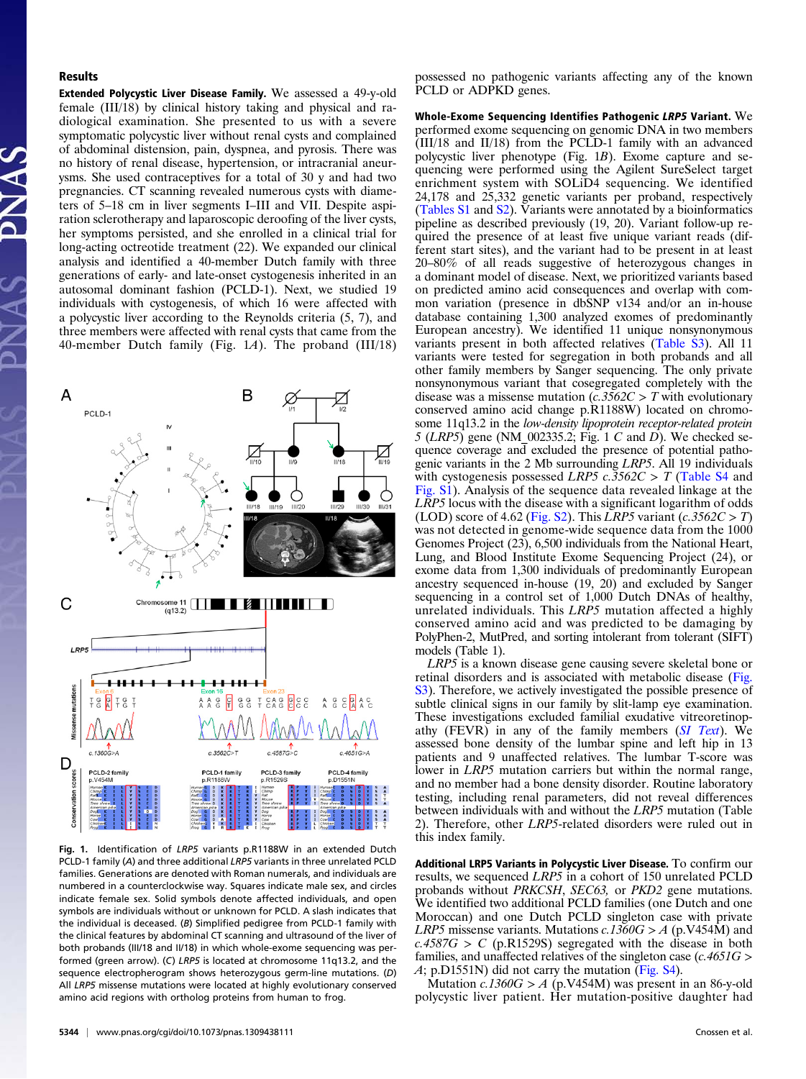## Results

Extended Polycystic Liver Disease Family. We assessed a 49-y-old female (III/18) by clinical history taking and physical and radiological examination. She presented to us with a severe symptomatic polycystic liver without renal cysts and complained of abdominal distension, pain, dyspnea, and pyrosis. There was no history of renal disease, hypertension, or intracranial aneurysms. She used contraceptives for a total of 30 y and had two pregnancies. CT scanning revealed numerous cysts with diameters of 5–18 cm in liver segments I–III and VII. Despite aspiration sclerotherapy and laparoscopic deroofing of the liver cysts, her symptoms persisted, and she enrolled in a clinical trial for long-acting octreotide treatment (22). We expanded our clinical analysis and identified a 40-member Dutch family with three generations of early- and late-onset cystogenesis inherited in an autosomal dominant fashion (PCLD-1). Next, we studied 19 individuals with cystogenesis, of which 16 were affected with a polycystic liver according to the Reynolds criteria (5, 7), and three members were affected with renal cysts that came from the 40-member Dutch family (Fig. 1A). The proband (III/18)



Fig. 1. Identification of LRP5 variants p.R1188W in an extended Dutch PCLD-1 family (A) and three additional LRP5 variants in three unrelated PCLD families. Generations are denoted with Roman numerals, and individuals are numbered in a counterclockwise way. Squares indicate male sex, and circles indicate female sex. Solid symbols denote affected individuals, and open symbols are individuals without or unknown for PCLD. A slash indicates that the individual is deceased. (B) Simplified pedigree from PCLD-1 family with the clinical features by abdominal CT scanning and ultrasound of the liver of both probands (III/18 and II/18) in which whole-exome sequencing was performed (green arrow). (C) LRP5 is located at chromosome 11q13.2, and the sequence electropherogram shows heterozygous germ-line mutations. (D) All LRP5 missense mutations were located at highly evolutionary conserved amino acid regions with ortholog proteins from human to frog.

possessed no pathogenic variants affecting any of the known PCLD or ADPKD genes.

Whole-Exome Sequencing Identifies Pathogenic LRP5 Variant. We performed exome sequencing on genomic DNA in two members (III/18 and II/18) from the PCLD-1 family with an advanced polycystic liver phenotype (Fig. 1B). Exome capture and sequencing were performed using the Agilent SureSelect target enrichment system with SOLiD4 sequencing. We identified 24,178 and 25,332 genetic variants per proband, respectively ([Tables S1](http://www.pnas.org/lookup/suppl/doi:10.1073/pnas.1309438111/-/DCSupplemental/pnas.201309438SI.pdf?targetid=nameddest=ST1) and [S2\)](http://www.pnas.org/lookup/suppl/doi:10.1073/pnas.1309438111/-/DCSupplemental/pnas.201309438SI.pdf?targetid=nameddest=ST2). Variants were annotated by a bioinformatics pipeline as described previously (19, 20). Variant follow-up required the presence of at least five unique variant reads (different start sites), and the variant had to be present in at least 20–80% of all reads suggestive of heterozygous changes in a dominant model of disease. Next, we prioritized variants based on predicted amino acid consequences and overlap with common variation (presence in dbSNP v134 and/or an in-house database containing 1,300 analyzed exomes of predominantly European ancestry). We identified 11 unique nonsynonymous variants present in both affected relatives ([Table S3](http://www.pnas.org/lookup/suppl/doi:10.1073/pnas.1309438111/-/DCSupplemental/pnas.201309438SI.pdf?targetid=nameddest=ST3)). All 11 variants were tested for segregation in both probands and all other family members by Sanger sequencing. The only private nonsynonymous variant that cosegregated completely with the disease was a missense mutation ( $c.3562C > T$  with evolutionary conserved amino acid change p.R1188W) located on chromosome 11q13.2 in the low-density lipoprotein receptor-related protein 5 (LRP5) gene (NM\_002335.2; Fig. 1 C and D). We checked sequence coverage and excluded the presence of potential pathogenic variants in the 2 Mb surrounding LRP5. All 19 individuals with cystogenesis possessed LRP5  $c.3562C > T$  ([Table S4](http://www.pnas.org/lookup/suppl/doi:10.1073/pnas.1309438111/-/DCSupplemental/pnas.201309438SI.pdf?targetid=nameddest=ST4) and [Fig. S1\)](http://www.pnas.org/lookup/suppl/doi:10.1073/pnas.1309438111/-/DCSupplemental/pnas.201309438SI.pdf?targetid=nameddest=SF1). Analysis of the sequence data revealed linkage at the LRP5 locus with the disease with a significant logarithm of odds (LOD) score of 4.62 [\(Fig. S2\)](http://www.pnas.org/lookup/suppl/doi:10.1073/pnas.1309438111/-/DCSupplemental/pnas.201309438SI.pdf?targetid=nameddest=SF2). This LRP5 variant  $(c.3562C > T)$ was not detected in genome-wide sequence data from the 1000 Genomes Project (23), 6,500 individuals from the National Heart, Lung, and Blood Institute Exome Sequencing Project (24), or exome data from 1,300 individuals of predominantly European ancestry sequenced in-house (19, 20) and excluded by Sanger sequencing in a control set of 1,000 Dutch DNAs of healthy, unrelated individuals. This LRP5 mutation affected a highly conserved amino acid and was predicted to be damaging by PolyPhen-2, MutPred, and sorting intolerant from tolerant (SIFT) models (Table 1).

LRP5 is a known disease gene causing severe skeletal bone or retinal disorders and is associated with metabolic disease ([Fig.](http://www.pnas.org/lookup/suppl/doi:10.1073/pnas.1309438111/-/DCSupplemental/pnas.201309438SI.pdf?targetid=nameddest=SF3) [S3\)](http://www.pnas.org/lookup/suppl/doi:10.1073/pnas.1309438111/-/DCSupplemental/pnas.201309438SI.pdf?targetid=nameddest=SF3). Therefore, we actively investigated the possible presence of subtle clinical signs in our family by slit-lamp eye examination. These investigations excluded familial exudative vitreoretinopathy (FEVR) in any of the family members  $(SI \text{ Text})$ . We assessed bone density of the lumbar spine and left hip in 13 patients and 9 unaffected relatives. The lumbar T-score was lower in *LRP5* mutation carriers but within the normal range, and no member had a bone density disorder. Routine laboratory testing, including renal parameters, did not reveal differences between individuals with and without the LRP5 mutation (Table 2). Therefore, other LRP5-related disorders were ruled out in this index family.

Additional LRP5 Variants in Polycystic Liver Disease. To confirm our results, we sequenced LRP5 in a cohort of 150 unrelated PCLD probands without PRKCSH, SEC63, or PKD2 gene mutations. We identified two additional PCLD families (one Dutch and one Moroccan) and one Dutch PCLD singleton case with private *LRP5* missense variants. Mutations  $c.1360G > A$  (p.V454M) and  $c.4587G > C$  (p.R1529S) segregated with the disease in both families, and unaffected relatives of the singleton case  $(c.4651G)$ A; p.D1551N) did not carry the mutation [\(Fig. S4](http://www.pnas.org/lookup/suppl/doi:10.1073/pnas.1309438111/-/DCSupplemental/pnas.201309438SI.pdf?targetid=nameddest=SF4)).

Mutation  $c.1360G > A$  (p.V454M) was present in an 86-y-old polycystic liver patient. Her mutation-positive daughter had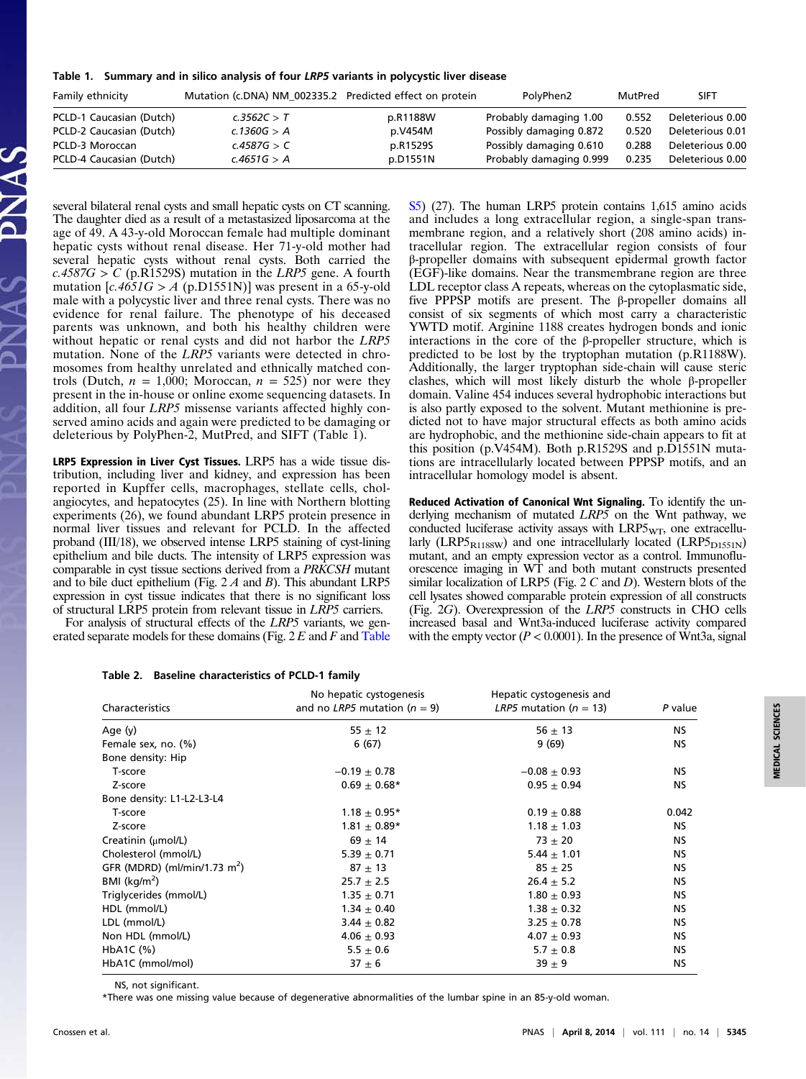|  |  | Table 1. Summary and in silico analysis of four LRP5 variants in polycystic liver disease |  |  |  |  |
|--|--|-------------------------------------------------------------------------------------------|--|--|--|--|
|--|--|-------------------------------------------------------------------------------------------|--|--|--|--|

| Family ethnicity         | Mutation (c.DNA) NM 002335.2 Predicted effect on protein |          | PolvPhen2               | MutPred | <b>SIFT</b>      |
|--------------------------|----------------------------------------------------------|----------|-------------------------|---------|------------------|
| PCLD-1 Caucasian (Dutch) | c.3562C $>$ T                                            | p.R1188W | Probably damaging 1.00  | 0.552   | Deleterious 0.00 |
| PCLD-2 Caucasian (Dutch) | c.1360G $> A$                                            | p.V454M  | Possibly damaging 0.872 | 0.520   | Deleterious 0.01 |
| PCLD-3 Moroccan          | c.4587G $>$ C                                            | p.R1529S | Possibly damaging 0.610 | 0.288   | Deleterious 0.00 |
| PCLD-4 Caucasian (Dutch) | c.4651G $> A$                                            | p.D1551N | Probably damaging 0.999 | 0.235   | Deleterious 0.00 |

several bilateral renal cysts and small hepatic cysts on CT scanning. The daughter died as a result of a metastasized liposarcoma at the age of 49. A 43-y-old Moroccan female had multiple dominant hepatic cysts without renal disease. Her 71-y-old mother had several hepatic cysts without renal cysts. Both carried the  $c.4587G > C$  (p.R1529S) mutation in the LRP5 gene. A fourth mutation  $[c.4651G > A (p.D1551N)]$  was present in a 65-y-old male with a polycystic liver and three renal cysts. There was no evidence for renal failure. The phenotype of his deceased parents was unknown, and both his healthy children were without hepatic or renal cysts and did not harbor the LRP5 mutation. None of the LRP5 variants were detected in chromosomes from healthy unrelated and ethnically matched controls (Dutch,  $n = 1,000$ ; Moroccan,  $n = 525$ ) nor were they present in the in-house or online exome sequencing datasets. In addition, all four LRP5 missense variants affected highly conserved amino acids and again were predicted to be damaging or deleterious by PolyPhen-2, MutPred, and SIFT (Table 1).

LRP5 Expression in Liver Cyst Tissues. LRP5 has a wide tissue distribution, including liver and kidney, and expression has been reported in Kupffer cells, macrophages, stellate cells, cholangiocytes, and hepatocytes (25). In line with Northern blotting experiments (26), we found abundant LRP5 protein presence in normal liver tissues and relevant for PCLD. In the affected proband (III/18), we observed intense LRP5 staining of cyst-lining epithelium and bile ducts. The intensity of LRP5 expression was comparable in cyst tissue sections derived from a PRKCSH mutant and to bile duct epithelium (Fig.  $2A$  and B). This abundant LRP5 expression in cyst tissue indicates that there is no significant loss of structural LRP5 protein from relevant tissue in LRP5 carriers.

For analysis of structural effects of the LRP5 variants, we generated separate models for these domains (Fig.  $2E$  and  $F$  and [Table](http://www.pnas.org/lookup/suppl/doi:10.1073/pnas.1309438111/-/DCSupplemental/pnas.201309438SI.pdf?targetid=nameddest=ST5) [S5\)](http://www.pnas.org/lookup/suppl/doi:10.1073/pnas.1309438111/-/DCSupplemental/pnas.201309438SI.pdf?targetid=nameddest=ST5) (27). The human LRP5 protein contains 1,615 amino acids and includes a long extracellular region, a single-span transmembrane region, and a relatively short (208 amino acids) intracellular region. The extracellular region consists of four β-propeller domains with subsequent epidermal growth factor (EGF)-like domains. Near the transmembrane region are three LDL receptor class A repeats, whereas on the cytoplasmatic side, five PPPSP motifs are present. The β-propeller domains all consist of six segments of which most carry a characteristic YWTD motif. Arginine 1188 creates hydrogen bonds and ionic interactions in the core of the β-propeller structure, which is predicted to be lost by the tryptophan mutation (p.R1188W). Additionally, the larger tryptophan side-chain will cause steric clashes, which will most likely disturb the whole β-propeller domain. Valine 454 induces several hydrophobic interactions but is also partly exposed to the solvent. Mutant methionine is predicted not to have major structural effects as both amino acids are hydrophobic, and the methionine side-chain appears to fit at this position (p.V454M). Both p.R1529S and p.D1551N mutations are intracellularly located between PPPSP motifs, and an intracellular homology model is absent.

Reduced Activation of Canonical Wnt Signaling. To identify the underlying mechanism of mutated LRP5 on the Wnt pathway, we conducted luciferase activity assays with  $LRP5_{\rm WT}$ , one extracellularly (LRP5 $_{\rm R1188W}$ ) and one intracellularly located (LRP5 $_{\rm D1551N}$ ) mutant, and an empty expression vector as a control. Immunofluorescence imaging in WT and both mutant constructs presented similar localization of LRP5 (Fig.  $2 C$  and D). Western blots of the cell lysates showed comparable protein expression of all constructs (Fig. 2G). Overexpression of the LRP5 constructs in CHO cells increased basal and Wnt3a-induced luciferase activity compared with the empty vector ( $P < 0.0001$ ). In the presence of Wnt3a, signal

| Characteristics                          | No hepatic cystogenesis<br>and no LRP5 mutation ( $n = 9$ ) | Hepatic cystogenesis and<br>LRP5 mutation ( $n = 13$ ) | P value   |  |
|------------------------------------------|-------------------------------------------------------------|--------------------------------------------------------|-----------|--|
| Age (y)                                  | $55 \pm 12$                                                 | $56 \pm 13$                                            | NS.       |  |
| Female sex, no. (%)                      | 6(67)                                                       | 9(69)                                                  | NS.       |  |
| Bone density: Hip                        |                                                             |                                                        |           |  |
| T-score                                  | $-0.19 \pm 0.78$                                            | $-0.08 \pm 0.93$                                       | NS.       |  |
| Z-score                                  | $0.69 \pm 0.68*$                                            | $0.95 + 0.94$                                          | NS.       |  |
| Bone density: L1-L2-L3-L4                |                                                             |                                                        |           |  |
| T-score                                  | $1.18 \pm 0.95*$                                            | $0.19 \pm 0.88$                                        | 0.042     |  |
| Z-score                                  | $1.81 \pm 0.89*$                                            | $1.18 \pm 1.03$                                        | NS.       |  |
| Creatinin (µmol/L)                       | $69 \pm 14$                                                 | $73 + 20$                                              | NS.       |  |
| Cholesterol (mmol/L)                     | 5.39 $\pm$ 0.71                                             | $5.44 \pm 1.01$                                        | NS.       |  |
| GFR (MDRD) (ml/min/1.73 m <sup>2</sup> ) | $87 + 13$                                                   | $85 \pm 25$                                            | NS.       |  |
| BMI ( $kg/m2$ )                          | $25.7 \pm 2.5$                                              | $26.4 \pm 5.2$                                         | NS.       |  |
| Triglycerides (mmol/L)                   | $1.35 \pm 0.71$                                             | $1.80 \pm 0.93$                                        | <b>NS</b> |  |
| HDL (mmol/L)                             | $1.34 \pm 0.40$                                             | $1.38 \pm 0.32$                                        | NS.       |  |
| LDL (mmol/L)                             | $3.44 \pm 0.82$                                             | $3.25 \pm 0.78$                                        | NS.       |  |
| Non HDL (mmol/L)                         | $4.06 \pm 0.93$                                             | $4.07 + 0.93$                                          | <b>NS</b> |  |
| HbA <sub>1</sub> C $(%)$                 | $5.5 \pm 0.6$                                               | $5.7 \pm 0.8$                                          | NS.       |  |
| HbA1C (mmol/mol)                         | $37 \pm 6$                                                  | $39 \pm 9$                                             | <b>NS</b> |  |

#### Table 2. Baseline characteristics of PCLD-1 family

NS, not significant.

\*There was one missing value because of degenerative abnormalities of the lumbar spine in an 85-y-old woman.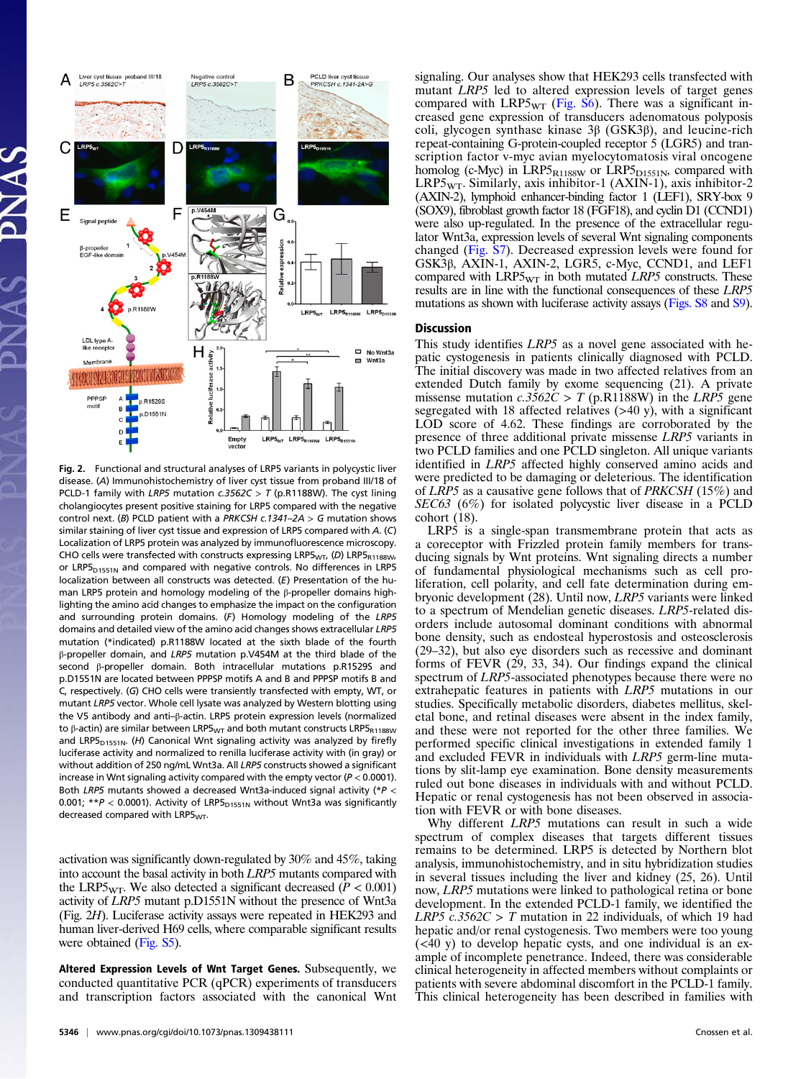

Fig. 2. Functional and structural analyses of LRP5 variants in polycystic liver disease. (A) Immunohistochemistry of liver cyst tissue from proband III/18 of PCLD-1 family with LRP5 mutation  $c.3562C > T$  (p.R1188W). The cyst lining cholangiocytes present positive staining for LRP5 compared with the negative control next. (B) PCLD patient with a PRKCSH  $c.1341 - 2A > G$  mutation shows similar staining of liver cyst tissue and expression of LRP5 compared with A. (C) Localization of LRP5 protein was analyzed by immunofluorescence microscopy. CHO cells were transfected with constructs expressing LRP5 $_{\text{WTI}}$ , (D) LRP5 $_{\text{R1188WI}}$ or LRP5<sub>D1551N</sub> and compared with negative controls. No differences in LRP5 localization between all constructs was detected. (E) Presentation of the human LRP5 protein and homology modeling of the β-propeller domains highlighting the amino acid changes to emphasize the impact on the configuration and surrounding protein domains.  $(F)$  Homology modeling of the LRP5 domains and detailed view of the amino acid changes shows extracellular LRP5 mutation (\*indicated) p.R1188W located at the sixth blade of the fourth β-propeller domain, and LRP5 mutation p.V454M at the third blade of the second β-propeller domain. Both intracellular mutations p.R1529S and p.D1551N are located between PPPSP motifs A and B and PPPSP motifs B and C, respectively. (G) CHO cells were transiently transfected with empty, WT, or mutant LRP5 vector. Whole cell lysate was analyzed by Western blotting using the V5 antibody and anti–β-actin. LRP5 protein expression levels (normalized to β-actin) are similar between LRP5<sub>WT</sub> and both mutant constructs LRP5<sub>R1188W</sub> and LRP5 $D1551N$ . (H) Canonical Wnt signaling activity was analyzed by firefly luciferase activity and normalized to renilla luciferase activity with (in gray) or without addition of 250 ng/mL Wnt3a. All LRP5 constructs showed a significant increase in Wnt signaling activity compared with the empty vector ( $P < 0.0001$ ). Both LRP5 mutants showed a decreased Wnt3a-induced signal activity (\* $P$  < 0.001;  $*P < 0.0001$ ). Activity of LRP5 $_{D1551N}$  without Wnt3a was significantly decreased compared with LRP5<sub>WT</sub>.

activation was significantly down-regulated by 30% and 45%, taking into account the basal activity in both LRP5 mutants compared with the LRP5<sub>WT</sub>. We also detected a significant decreased ( $P < 0.001$ ) activity of LRP5 mutant p.D1551N without the presence of Wnt3a (Fig. 2H). Luciferase activity assays were repeated in HEK293 and human liver-derived H69 cells, where comparable significant results were obtained [\(Fig. S5\)](http://www.pnas.org/lookup/suppl/doi:10.1073/pnas.1309438111/-/DCSupplemental/pnas.201309438SI.pdf?targetid=nameddest=SF5).

Altered Expression Levels of Wnt Target Genes. Subsequently, we conducted quantitative PCR (qPCR) experiments of transducers and transcription factors associated with the canonical Wnt signaling. Our analyses show that HEK293 cells transfected with mutant LRP5 led to altered expression levels of target genes compared with LRP5 $_{\text{WT}}$  ([Fig. S6](http://www.pnas.org/lookup/suppl/doi:10.1073/pnas.1309438111/-/DCSupplemental/pnas.201309438SI.pdf?targetid=nameddest=SF6)). There was a significant increased gene expression of transducers adenomatous polyposis coli, glycogen synthase kinase 3β (GSK3β), and leucine-rich repeat-containing G-protein-coupled receptor 5 (LGR5) and transcription factor v-myc avian myelocytomatosis viral oncogene homolog (c-Myc) in  $LRP5_{R1188W}$  or  $LRP5_{D1551N}$ , compared with LRP5<sub>WT</sub>. Similarly, axis inhibitor-1 (AXIN-1), axis inhibitor-2 (AXIN-2), lymphoid enhancer-binding factor 1 (LEF1), SRY-box 9 (SOX9), fibroblast growth factor 18 (FGF18), and cyclin D1 (CCND1) were also up-regulated. In the presence of the extracellular regulator Wnt3a, expression levels of several Wnt signaling components changed ([Fig. S7](http://www.pnas.org/lookup/suppl/doi:10.1073/pnas.1309438111/-/DCSupplemental/pnas.201309438SI.pdf?targetid=nameddest=SF7)). Decreased expression levels were found for GSK3β, AXIN-1, AXIN-2, LGR5, c-Myc, CCND1, and LEF1 compared with  $LRP5_{WT}$  in both mutated  $LRP5$  constructs. These results are in line with the functional consequences of these LRP5 mutations as shown with luciferase activity assays [\(Figs. S8](http://www.pnas.org/lookup/suppl/doi:10.1073/pnas.1309438111/-/DCSupplemental/pnas.201309438SI.pdf?targetid=nameddest=SF8) and [S9](http://www.pnas.org/lookup/suppl/doi:10.1073/pnas.1309438111/-/DCSupplemental/pnas.201309438SI.pdf?targetid=nameddest=SF9)).

#### Discussion

This study identifies *LRP5* as a novel gene associated with hepatic cystogenesis in patients clinically diagnosed with PCLD. The initial discovery was made in two affected relatives from an extended Dutch family by exome sequencing (21). A private missense mutation  $c.3562C > T$  (p.R1188W) in the LRP5 gene segregated with 18 affected relatives (>40 y), with a significant LOD score of 4.62. These findings are corroborated by the presence of three additional private missense LRP5 variants in two PCLD families and one PCLD singleton. All unique variants identified in LRP5 affected highly conserved amino acids and were predicted to be damaging or deleterious. The identification of LRP5 as a causative gene follows that of PRKCSH (15%) and SEC63 (6%) for isolated polycystic liver disease in a PCLD cohort (18).

LRP5 is a single-span transmembrane protein that acts as a coreceptor with Frizzled protein family members for transducing signals by Wnt proteins. Wnt signaling directs a number of fundamental physiological mechanisms such as cell proliferation, cell polarity, and cell fate determination during embryonic development (28). Until now, LRP5 variants were linked to a spectrum of Mendelian genetic diseases. LRP5-related disorders include autosomal dominant conditions with abnormal bone density, such as endosteal hyperostosis and osteosclerosis (29–32), but also eye disorders such as recessive and dominant forms of FEVR (29, 33, 34). Our findings expand the clinical spectrum of LRP5-associated phenotypes because there were no extrahepatic features in patients with LRP5 mutations in our studies. Specifically metabolic disorders, diabetes mellitus, skeletal bone, and retinal diseases were absent in the index family, and these were not reported for the other three families. We performed specific clinical investigations in extended family 1 and excluded FEVR in individuals with LRP5 germ-line mutations by slit-lamp eye examination. Bone density measurements ruled out bone diseases in individuals with and without PCLD. Hepatic or renal cystogenesis has not been observed in association with FEVR or with bone diseases.

Why different LRP5 mutations can result in such a wide spectrum of complex diseases that targets different tissues remains to be determined. LRP5 is detected by Northern blot analysis, immunohistochemistry, and in situ hybridization studies in several tissues including the liver and kidney (25, 26). Until now, LRP5 mutations were linked to pathological retina or bone development. In the extended PCLD-1 family, we identified the LRP5  $c.3562C > T$  mutation in 22 individuals, of which 19 had hepatic and/or renal cystogenesis. Two members were too young (<40 y) to develop hepatic cysts, and one individual is an example of incomplete penetrance. Indeed, there was considerable clinical heterogeneity in affected members without complaints or patients with severe abdominal discomfort in the PCLD-1 family. This clinical heterogeneity has been described in families with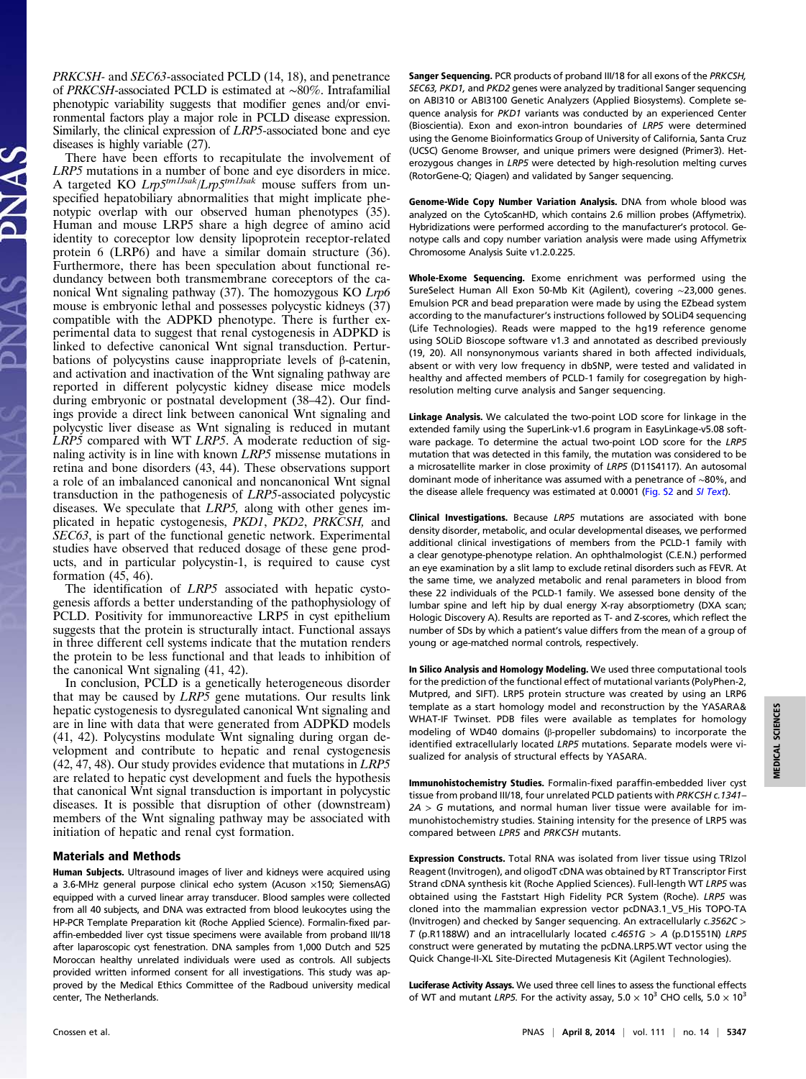PRKCSH- and SEC63-associated PCLD (14, 18), and penetrance of PRKCSH-associated PCLD is estimated at ∼80%. Intrafamilial phenotypic variability suggests that modifier genes and/or environmental factors play a major role in PCLD disease expression. Similarly, the clinical expression of LRP5-associated bone and eye diseases is highly variable (27).

There have been efforts to recapitulate the involvement of *LRP5* mutations in a number of bone and eye disorders in mice.<br>A targeted KO  $Lrp5^{tm1Isak}/Lrp5^{tm1Isak}$  mouse suffers from unspecified hepatobiliary abnormalities that might implicate phenotypic overlap with our observed human phenotypes (35). Human and mouse LRP5 share a high degree of amino acid identity to coreceptor low density lipoprotein receptor-related protein 6 (LRP6) and have a similar domain structure (36). Furthermore, there has been speculation about functional redundancy between both transmembrane coreceptors of the canonical Wnt signaling pathway (37). The homozygous KO Lrp6 mouse is embryonic lethal and possesses polycystic kidneys (37) compatible with the ADPKD phenotype. There is further experimental data to suggest that renal cystogenesis in ADPKD is linked to defective canonical Wnt signal transduction. Perturbations of polycystins cause inappropriate levels of β-catenin, and activation and inactivation of the Wnt signaling pathway are reported in different polycystic kidney disease mice models during embryonic or postnatal development (38–42). Our findings provide a direct link between canonical Wnt signaling and polycystic liver disease as Wnt signaling is reduced in mutant LRP5 compared with WT LRP5. A moderate reduction of signaling activity is in line with known LRP5 missense mutations in retina and bone disorders (43, 44). These observations support a role of an imbalanced canonical and noncanonical Wnt signal transduction in the pathogenesis of LRP5-associated polycystic diseases. We speculate that LRP5, along with other genes implicated in hepatic cystogenesis, PKD1, PKD2, PRKCSH, and SEC63, is part of the functional genetic network. Experimental studies have observed that reduced dosage of these gene products, and in particular polycystin-1, is required to cause cyst formation (45, 46).

The identification of LRP5 associated with hepatic cystogenesis affords a better understanding of the pathophysiology of PCLD. Positivity for immunoreactive LRP5 in cyst epithelium suggests that the protein is structurally intact. Functional assays in three different cell systems indicate that the mutation renders the protein to be less functional and that leads to inhibition of the canonical Wnt signaling (41, 42).

In conclusion, PCLD is a genetically heterogeneous disorder that may be caused by  $LRP\bar{5}$  gene mutations. Our results link hepatic cystogenesis to dysregulated canonical Wnt signaling and are in line with data that were generated from ADPKD models (41, 42). Polycystins modulate Wnt signaling during organ development and contribute to hepatic and renal cystogenesis (42, 47, 48). Our study provides evidence that mutations in LRP5 are related to hepatic cyst development and fuels the hypothesis that canonical Wnt signal transduction is important in polycystic diseases. It is possible that disruption of other (downstream) members of the Wnt signaling pathway may be associated with initiation of hepatic and renal cyst formation.

## Materials and Methods

Human Subjects. Ultrasound images of liver and kidneys were acquired using a 3.6-MHz general purpose clinical echo system (Acuson ×150; SiemensAG) equipped with a curved linear array transducer. Blood samples were collected from all 40 subjects, and DNA was extracted from blood leukocytes using the HP-PCR Template Preparation kit (Roche Applied Science). Formalin-fixed paraffin-embedded liver cyst tissue specimens were available from proband III/18 after laparoscopic cyst fenestration. DNA samples from 1,000 Dutch and 525 Moroccan healthy unrelated individuals were used as controls. All subjects provided written informed consent for all investigations. This study was approved by the Medical Ethics Committee of the Radboud university medical center, The Netherlands.

Sanger Sequencing. PCR products of proband III/18 for all exons of the PRKCSH, SEC63, PKD1, and PKD2 genes were analyzed by traditional Sanger sequencing on ABI310 or ABI3100 Genetic Analyzers (Applied Biosystems). Complete sequence analysis for PKD1 variants was conducted by an experienced Center (Bioscientia). Exon and exon-intron boundaries of LRP5 were determined using the Genome Bioinformatics Group of University of California, Santa Cruz (UCSC) Genome Browser, and unique primers were designed (Primer3). Heterozygous changes in LRP5 were detected by high-resolution melting curves (RotorGene-Q; Qiagen) and validated by Sanger sequencing.

Genome-Wide Copy Number Variation Analysis. DNA from whole blood was analyzed on the CytoScanHD, which contains 2.6 million probes (Affymetrix). Hybridizations were performed according to the manufacturer's protocol. Genotype calls and copy number variation analysis were made using Affymetrix Chromosome Analysis Suite v1.2.0.225.

Whole-Exome Sequencing. Exome enrichment was performed using the SureSelect Human All Exon 50-Mb Kit (Agilent), covering ∼23,000 genes. Emulsion PCR and bead preparation were made by using the EZbead system according to the manufacturer's instructions followed by SOLiD4 sequencing (Life Technologies). Reads were mapped to the hg19 reference genome using SOLiD Bioscope software v1.3 and annotated as described previously (19, 20). All nonsynonymous variants shared in both affected individuals, absent or with very low frequency in dbSNP, were tested and validated in healthy and affected members of PCLD-1 family for cosegregation by highresolution melting curve analysis and Sanger sequencing.

Linkage Analysis. We calculated the two-point LOD score for linkage in the extended family using the SuperLink-v1.6 program in EasyLinkage-v5.08 software package. To determine the actual two-point LOD score for the LRP5 mutation that was detected in this family, the mutation was considered to be a microsatellite marker in close proximity of LRP5 (D11S4117). An autosomal dominant mode of inheritance was assumed with a penetrance of ∼80%, and the disease allele frequency was estimated at 0.0001 [\(Fig. S2](http://www.pnas.org/lookup/suppl/doi:10.1073/pnas.1309438111/-/DCSupplemental/pnas.201309438SI.pdf?targetid=nameddest=SF2) and [SI Text](http://www.pnas.org/lookup/suppl/doi:10.1073/pnas.1309438111/-/DCSupplemental/pnas.201309438SI.pdf?targetid=nameddest=STXT)).

Clinical Investigations. Because LRP5 mutations are associated with bone density disorder, metabolic, and ocular developmental diseases, we performed additional clinical investigations of members from the PCLD-1 family with a clear genotype-phenotype relation. An ophthalmologist (C.E.N.) performed an eye examination by a slit lamp to exclude retinal disorders such as FEVR. At the same time, we analyzed metabolic and renal parameters in blood from these 22 individuals of the PCLD-1 family. We assessed bone density of the lumbar spine and left hip by dual energy X-ray absorptiometry (DXA scan; Hologic Discovery A). Results are reported as T- and Z-scores, which reflect the number of SDs by which a patient's value differs from the mean of a group of young or age-matched normal controls, respectively.

In Silico Analysis and Homology Modeling. We used three computational tools for the prediction of the functional effect of mutational variants (PolyPhen-2, Mutpred, and SIFT). LRP5 protein structure was created by using an LRP6 template as a start homology model and reconstruction by the YASARA& WHAT-IF Twinset. PDB files were available as templates for homology modeling of WD40 domains (β-propeller subdomains) to incorporate the identified extracellularly located LRP5 mutations. Separate models were visualized for analysis of structural effects by YASARA.

Immunohistochemistry Studies. Formalin-fixed paraffin-embedded liver cyst tissue from proband III/18, four unrelated PCLD patients with PRKCSH c.1341–  $2A > G$  mutations, and normal human liver tissue were available for immunohistochemistry studies. Staining intensity for the presence of LRP5 was compared between LPR5 and PRKCSH mutants.

Expression Constructs. Total RNA was isolated from liver tissue using TRIzol Reagent (Invitrogen), and oligodT cDNA was obtained by RT Transcriptor First Strand cDNA synthesis kit (Roche Applied Sciences). Full-length WT LRP5 was obtained using the Faststart High Fidelity PCR System (Roche). LRP5 was cloned into the mammalian expression vector pcDNA3.1\_V5\_His TOPO-TA (Invitrogen) and checked by Sanger sequencing. An extracellularly c.3562C > T (p.R1188W) and an intracellularly located  $c.4651G > A$  (p.D1551N) LRP5 construct were generated by mutating the pcDNA.LRP5.WT vector using the Quick Change-II-XL Site-Directed Mutagenesis Kit (Agilent Technologies).

Luciferase Activity Assays. We used three cell lines to assess the functional effects of WT and mutant LRP5. For the activity assay,  $5.0 \times 10^3$  CHO cells,  $5.0 \times 10^3$